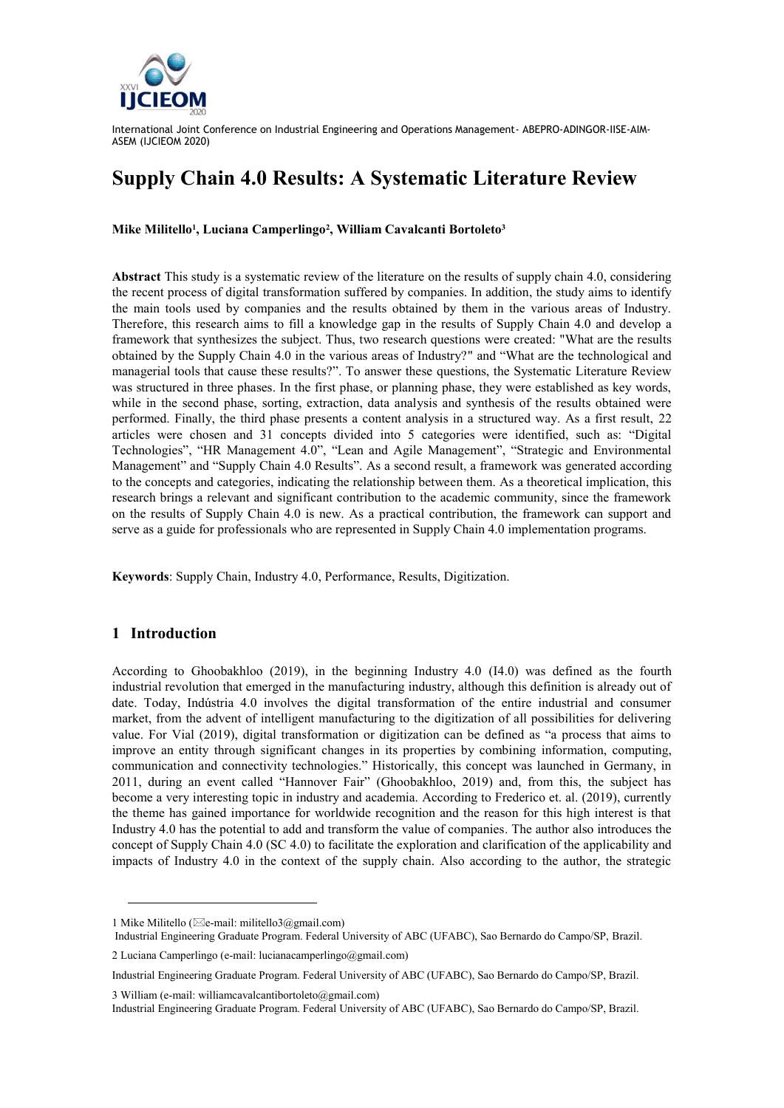

# **Supply Chain 4.0 Results: A Systematic Literature Review**

**Mike Militello<sup>1</sup> , Luciana Camperlingo<sup>2</sup> , William Cavalcanti Bortoleto<sup>3</sup>**

**Abstract** This study is a systematic review of the literature on the results of supply chain 4.0, considering the recent process of digital transformation suffered by companies. In addition, the study aims to identify the main tools used by companies and the results obtained by them in the various areas of Industry. Therefore, this research aims to fill a knowledge gap in the results of Supply Chain 4.0 and develop a framework that synthesizes the subject. Thus, two research questions were created: "What are the results obtained by the Supply Chain 4.0 in the various areas of Industry?" and "What are the technological and managerial tools that cause these results?". To answer these questions, the Systematic Literature Review was structured in three phases. In the first phase, or planning phase, they were established as key words, while in the second phase, sorting, extraction, data analysis and synthesis of the results obtained were performed. Finally, the third phase presents a content analysis in a structured way. As a first result, 22 articles were chosen and 31 concepts divided into 5 categories were identified, such as: "Digital Technologies", "HR Management 4.0", "Lean and Agile Management", "Strategic and Environmental Management" and "Supply Chain 4.0 Results". As a second result, a framework was generated according to the concepts and categories, indicating the relationship between them. As a theoretical implication, this research brings a relevant and significant contribution to the academic community, since the framework on the results of Supply Chain 4.0 is new. As a practical contribution, the framework can support and serve as a guide for professionals who are represented in Supply Chain 4.0 implementation programs.

**Keywords**: Supply Chain, Industry 4.0, Performance, Results, Digitization.

# **1 Introduction**

l

According to Ghoobakhloo (2019), in the beginning Industry 4.0 (I4.0) was defined as the fourth industrial revolution that emerged in the manufacturing industry, although this definition is already out of date. Today, Indústria 4.0 involves the digital transformation of the entire industrial and consumer market, from the advent of intelligent manufacturing to the digitization of all possibilities for delivering value. For Vial (2019), digital transformation or digitization can be defined as "a process that aims to improve an entity through significant changes in its properties by combining information, computing, communication and connectivity technologies." Historically, this concept was launched in Germany, in 2011, during an event called "Hannover Fair" (Ghoobakhloo, 2019) and, from this, the subject has become a very interesting topic in industry and academia. According to Frederico et. al. (2019), currently the theme has gained importance for worldwide recognition and the reason for this high interest is that Industry 4.0 has the potential to add and transform the value of companies. The author also introduces the concept of Supply Chain 4.0 (SC 4.0) to facilitate the exploration and clarification of the applicability and impacts of Industry 4.0 in the context of the supply chain. Also according to the author, the strategic

3 William (e-mail: williamcavalcantibortoleto@gmail.com)

<sup>1</sup> Mike Militello ( $\boxtimes$ e-mail: militello3@gmail.com)

Industrial Engineering Graduate Program. Federal University of ABC (UFABC), Sao Bernardo do Campo/SP, Brazil.

<sup>2</sup> Luciana Camperlingo (e-mail: lucianacamperlingo@gmail.com)

Industrial Engineering Graduate Program. Federal University of ABC (UFABC), Sao Bernardo do Campo/SP, Brazil.

Industrial Engineering Graduate Program. Federal University of ABC (UFABC), Sao Bernardo do Campo/SP, Brazil.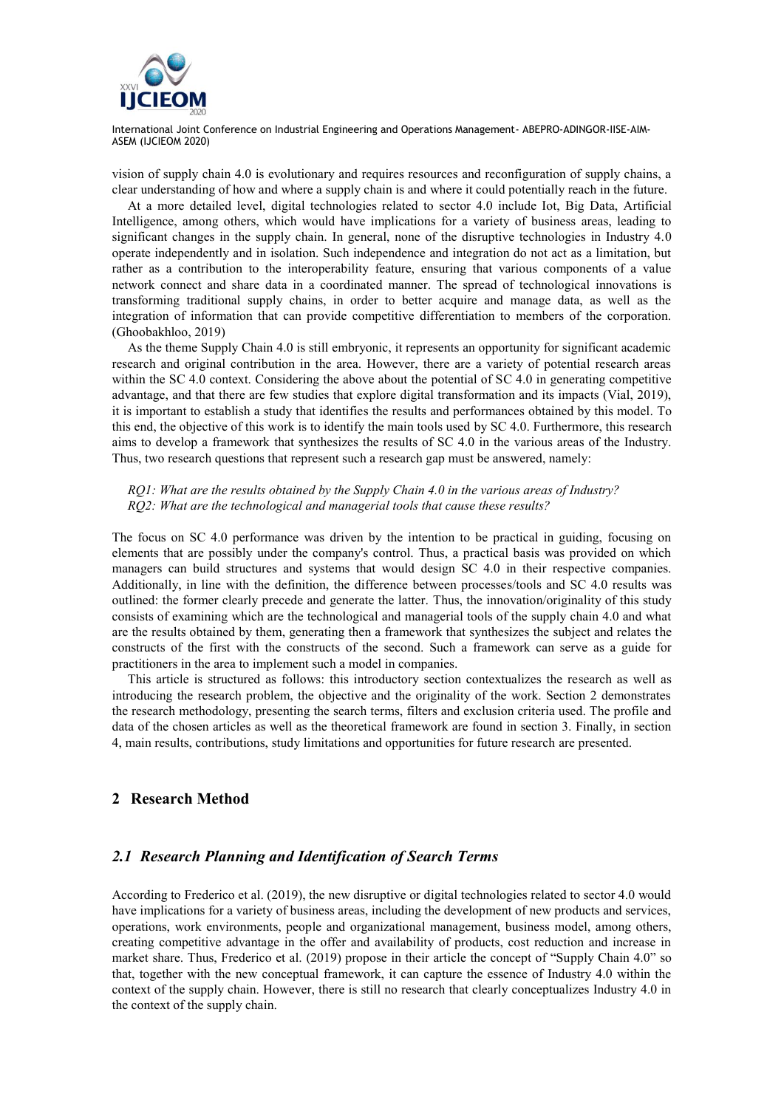

vision of supply chain 4.0 is evolutionary and requires resources and reconfiguration of supply chains, a clear understanding of how and where a supply chain is and where it could potentially reach in the future.

At a more detailed level, digital technologies related to sector 4.0 include Iot, Big Data, Artificial Intelligence, among others, which would have implications for a variety of business areas, leading to significant changes in the supply chain. In general, none of the disruptive technologies in Industry 4.0 operate independently and in isolation. Such independence and integration do not act as a limitation, but rather as a contribution to the interoperability feature, ensuring that various components of a value network connect and share data in a coordinated manner. The spread of technological innovations is transforming traditional supply chains, in order to better acquire and manage data, as well as the integration of information that can provide competitive differentiation to members of the corporation. (Ghoobakhloo, 2019)

As the theme Supply Chain 4.0 is still embryonic, it represents an opportunity for significant academic research and original contribution in the area. However, there are a variety of potential research areas within the SC 4.0 context. Considering the above about the potential of SC 4.0 in generating competitive advantage, and that there are few studies that explore digital transformation and its impacts (Vial, 2019), it is important to establish a study that identifies the results and performances obtained by this model. To this end, the objective of this work is to identify the main tools used by SC 4.0. Furthermore, this research aims to develop a framework that synthesizes the results of SC 4.0 in the various areas of the Industry. Thus, two research questions that represent such a research gap must be answered, namely:

*RQ1: What are the results obtained by the Supply Chain 4.0 in the various areas of Industry? RQ2: What are the technological and managerial tools that cause these results?*

The focus on SC 4.0 performance was driven by the intention to be practical in guiding, focusing on elements that are possibly under the company's control. Thus, a practical basis was provided on which managers can build structures and systems that would design SC 4.0 in their respective companies. Additionally, in line with the definition, the difference between processes/tools and SC 4.0 results was outlined: the former clearly precede and generate the latter. Thus, the innovation/originality of this study consists of examining which are the technological and managerial tools of the supply chain 4.0 and what are the results obtained by them, generating then a framework that synthesizes the subject and relates the constructs of the first with the constructs of the second. Such a framework can serve as a guide for practitioners in the area to implement such a model in companies.

This article is structured as follows: this introductory section contextualizes the research as well as introducing the research problem, the objective and the originality of the work. Section 2 demonstrates the research methodology, presenting the search terms, filters and exclusion criteria used. The profile and data of the chosen articles as well as the theoretical framework are found in section 3. Finally, in section 4, main results, contributions, study limitations and opportunities for future research are presented.

### **2 Research Method**

## *2.1 Research Planning and Identification of Search Terms*

According to Frederico et al. (2019), the new disruptive or digital technologies related to sector 4.0 would have implications for a variety of business areas, including the development of new products and services, operations, work environments, people and organizational management, business model, among others, creating competitive advantage in the offer and availability of products, cost reduction and increase in market share. Thus, Frederico et al. (2019) propose in their article the concept of "Supply Chain 4.0" so that, together with the new conceptual framework, it can capture the essence of Industry 4.0 within the context of the supply chain. However, there is still no research that clearly conceptualizes Industry 4.0 in the context of the supply chain.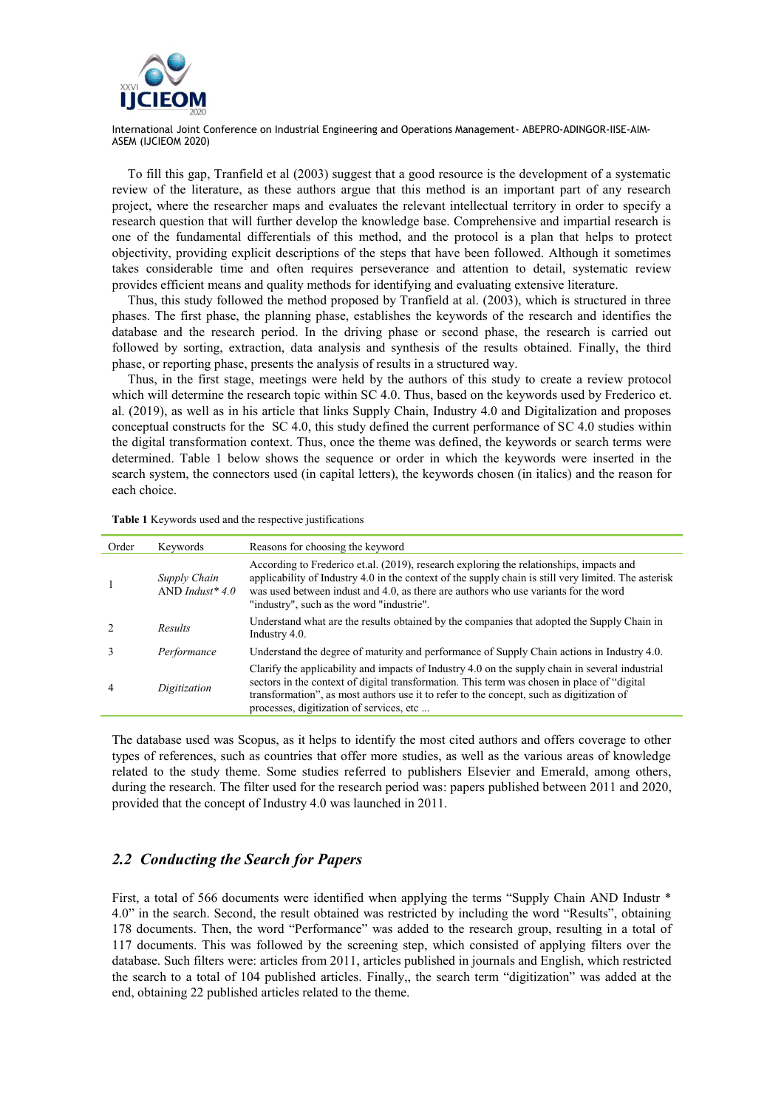

To fill this gap, Tranfield et al (2003) suggest that a good resource is the development of a systematic review of the literature, as these authors argue that this method is an important part of any research project, where the researcher maps and evaluates the relevant intellectual territory in order to specify a research question that will further develop the knowledge base. Comprehensive and impartial research is one of the fundamental differentials of this method, and the protocol is a plan that helps to protect objectivity, providing explicit descriptions of the steps that have been followed. Although it sometimes takes considerable time and often requires perseverance and attention to detail, systematic review provides efficient means and quality methods for identifying and evaluating extensive literature.

Thus, this study followed the method proposed by Tranfield at al. (2003), which is structured in three phases. The first phase, the planning phase, establishes the keywords of the research and identifies the database and the research period. In the driving phase or second phase, the research is carried out followed by sorting, extraction, data analysis and synthesis of the results obtained. Finally, the third phase, or reporting phase, presents the analysis of results in a structured way.

Thus, in the first stage, meetings were held by the authors of this study to create a review protocol which will determine the research topic within SC 4.0. Thus, based on the keywords used by Frederico et. al. (2019), as well as in his article that links Supply Chain, Industry 4.0 and Digitalization and proposes conceptual constructs for the SC 4.0, this study defined the current performance of SC 4.0 studies within the digital transformation context. Thus, once the theme was defined, the keywords or search terms were determined. Table 1 below shows the sequence or order in which the keywords were inserted in the search system, the connectors used (in capital letters), the keywords chosen (in italics) and the reason for each choice.

**Table 1** Keywords used and the respective justifications

| Order | Keywords                           | Reasons for choosing the keyword                                                                                                                                                                                                                                                                                                        |
|-------|------------------------------------|-----------------------------------------------------------------------------------------------------------------------------------------------------------------------------------------------------------------------------------------------------------------------------------------------------------------------------------------|
|       | Supply Chain<br>AND Indust * $4.0$ | According to Frederico et.al. (2019), research exploring the relationships, impacts and<br>applicability of Industry 4.0 in the context of the supply chain is still very limited. The asterisk<br>was used between indust and 4.0, as there are authors who use variants for the word<br>"industry", such as the word "industrie".     |
|       | Results                            | Understand what are the results obtained by the companies that adopted the Supply Chain in<br>Industry 4.0.                                                                                                                                                                                                                             |
|       | Performance                        | Understand the degree of maturity and performance of Supply Chain actions in Industry 4.0.                                                                                                                                                                                                                                              |
| 4     | Digitization                       | Clarify the applicability and impacts of Industry 4.0 on the supply chain in several industrial<br>sectors in the context of digital transformation. This term was chosen in place of "digital"<br>transformation", as most authors use it to refer to the concept, such as digitization of<br>processes, digitization of services, etc |

The database used was Scopus, as it helps to identify the most cited authors and offers coverage to other types of references, such as countries that offer more studies, as well as the various areas of knowledge related to the study theme. Some studies referred to publishers Elsevier and Emerald, among others, during the research. The filter used for the research period was: papers published between 2011 and 2020, provided that the concept of Industry 4.0 was launched in 2011.

# *2.2 Conducting the Search for Papers*

First, a total of 566 documents were identified when applying the terms "Supply Chain AND Industr \* 4.0" in the search. Second, the result obtained was restricted by including the word "Results", obtaining 178 documents. Then, the word "Performance" was added to the research group, resulting in a total of 117 documents. This was followed by the screening step, which consisted of applying filters over the database. Such filters were: articles from 2011, articles published in journals and English, which restricted the search to a total of 104 published articles. Finally,, the search term "digitization" was added at the end, obtaining 22 published articles related to the theme.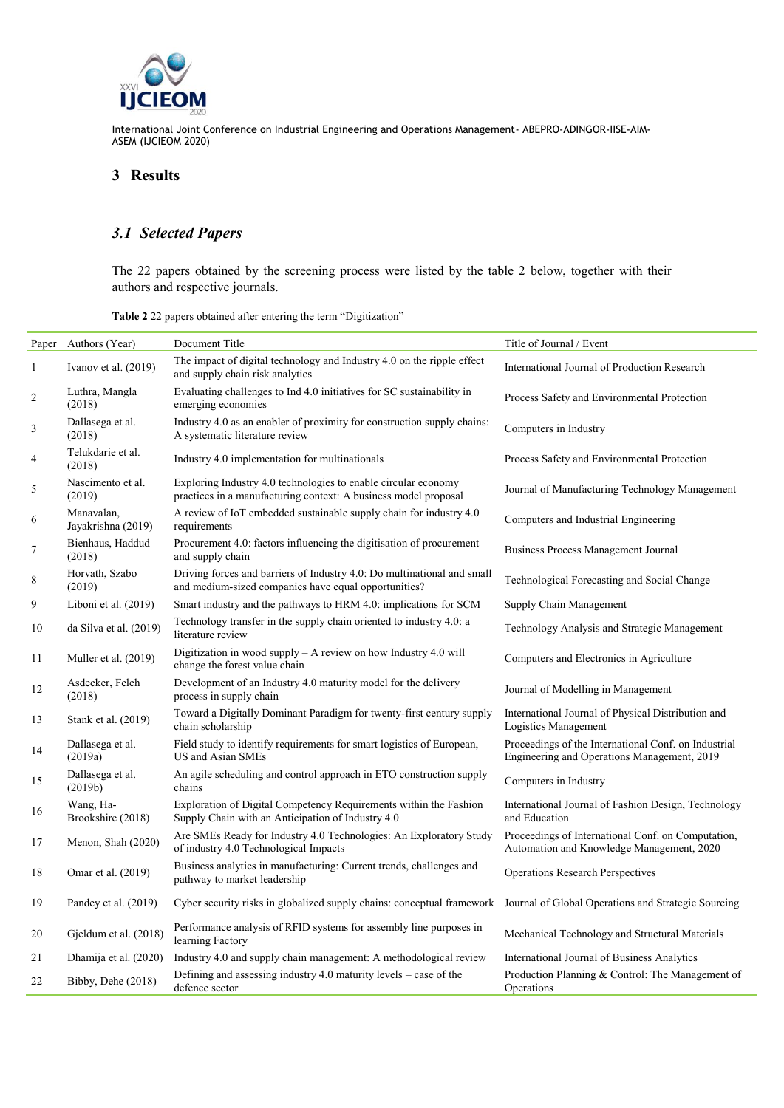

# **3 Results**

# *3.1 Selected Papers*

The 22 papers obtained by the screening process were listed by the table 2 below, together with their authors and respective journals.

| Paper            | Authors (Year)                   | Document Title                                                                                                                    | Title of Journal / Event                                                                            |
|------------------|----------------------------------|-----------------------------------------------------------------------------------------------------------------------------------|-----------------------------------------------------------------------------------------------------|
| $\mathbf{1}$     | Ivanov et al. $(2019)$           | The impact of digital technology and Industry 4.0 on the ripple effect<br>and supply chain risk analytics                         | International Journal of Production Research                                                        |
| $\boldsymbol{2}$ | Luthra, Mangla<br>(2018)         | Evaluating challenges to Ind 4.0 initiatives for SC sustainability in<br>emerging economies                                       | Process Safety and Environmental Protection                                                         |
| 3                | Dallasega et al.<br>(2018)       | Industry 4.0 as an enabler of proximity for construction supply chains:<br>A systematic literature review                         | Computers in Industry                                                                               |
| 4                | Telukdarie et al.<br>(2018)      | Industry 4.0 implementation for multinationals                                                                                    | Process Safety and Environmental Protection                                                         |
| $\mathfrak s$    | Nascimento et al.<br>(2019)      | Exploring Industry 4.0 technologies to enable circular economy<br>practices in a manufacturing context: A business model proposal | Journal of Manufacturing Technology Management                                                      |
| 6                | Manavalan,<br>Jayakrishna (2019) | A review of IoT embedded sustainable supply chain for industry 4.0<br>requirements                                                | Computers and Industrial Engineering                                                                |
| $\boldsymbol{7}$ | Bienhaus, Haddud<br>(2018)       | Procurement 4.0: factors influencing the digitisation of procurement<br>and supply chain                                          | Business Process Management Journal                                                                 |
| $\,8\,$          | Horvath, Szabo<br>(2019)         | Driving forces and barriers of Industry 4.0: Do multinational and small<br>and medium-sized companies have equal opportunities?   | Technological Forecasting and Social Change                                                         |
| 9                | Liboni et al. (2019)             | Smart industry and the pathways to HRM 4.0: implications for SCM                                                                  | Supply Chain Management                                                                             |
| 10               | da Silva et al. (2019)           | Technology transfer in the supply chain oriented to industry 4.0: a<br>literature review                                          | Technology Analysis and Strategic Management                                                        |
| 11               | Muller et al. (2019)             | Digitization in wood supply $- A$ review on how Industry 4.0 will<br>change the forest value chain                                | Computers and Electronics in Agriculture                                                            |
| 12               | Asdecker, Felch<br>(2018)        | Development of an Industry 4.0 maturity model for the delivery<br>process in supply chain                                         | Journal of Modelling in Management                                                                  |
| 13               | Stank et al. (2019)              | Toward a Digitally Dominant Paradigm for twenty-first century supply<br>chain scholarship                                         | International Journal of Physical Distribution and<br>Logistics Management                          |
| 14               | Dallasega et al.<br>(2019a)      | Field study to identify requirements for smart logistics of European,<br><b>US and Asian SMEs</b>                                 | Proceedings of the International Conf. on Industrial<br>Engineering and Operations Management, 2019 |
| 15               | Dallasega et al.<br>(2019b)      | An agile scheduling and control approach in ETO construction supply<br>chains                                                     | Computers in Industry                                                                               |
| 16               | Wang, Ha-<br>Brookshire (2018)   | Exploration of Digital Competency Requirements within the Fashion<br>Supply Chain with an Anticipation of Industry 4.0            | International Journal of Fashion Design, Technology<br>and Education                                |
| 17               | Menon, Shah (2020)               | Are SMEs Ready for Industry 4.0 Technologies: An Exploratory Study<br>of industry 4.0 Technological Impacts                       | Proceedings of International Conf. on Computation,<br>Automation and Knowledge Management, 2020     |
| 18               | Omar et al. (2019)               | Business analytics in manufacturing: Current trends, challenges and<br>pathway to market leadership                               | <b>Operations Research Perspectives</b>                                                             |
| 19               | Pandey et al. (2019)             | Cyber security risks in globalized supply chains: conceptual framework                                                            | Journal of Global Operations and Strategic Sourcing                                                 |
| 20               | Gjeldum et al. (2018)            | Performance analysis of RFID systems for assembly line purposes in<br>learning Factory                                            | Mechanical Technology and Structural Materials                                                      |
| 21               | Dhamija et al. (2020)            | Industry 4.0 and supply chain management: A methodological review                                                                 | International Journal of Business Analytics                                                         |
| 22               | Bibby, Dehe (2018)               | Defining and assessing industry $4.0$ maturity levels – case of the<br>defence sector                                             | Production Planning & Control: The Management of<br>Operations                                      |

**Table 2** 22 papers obtained after entering the term "Digitization"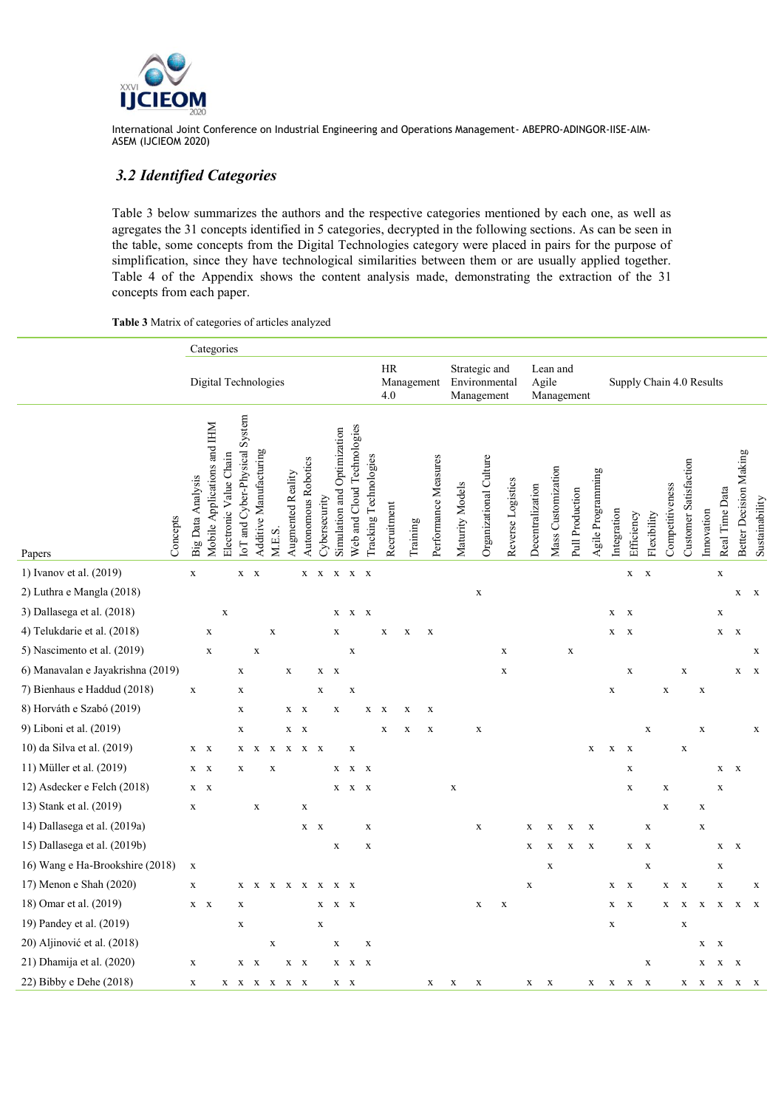

# *3.2 Identified Categories*

Table 3 below summarizes the authors and the respective categories mentioned by each one, as well as agregates the 31 concepts identified in 5 categories, decrypted in the following sections. As can be seen in the table, some concepts from the Digital Technologies category were placed in pairs for the purpose of simplification, since they have technological similarities between them or are usually applied together. Table 4 of the Appendix shows the content analysis made, demonstrating the extraction of the 31 concepts from each paper.

#### **Table 3** Matrix of categories of articles analyzed

|                                   | Categories |                                                         |                           |                               |                        |             |                   |                           |               |                                |                            |                       |             |                                              |                      |                                 |                        |                   |                  |                          |                 |                   |             |             |              |                 |                           |             |                |                               |                |
|-----------------------------------|------------|---------------------------------------------------------|---------------------------|-------------------------------|------------------------|-------------|-------------------|---------------------------|---------------|--------------------------------|----------------------------|-----------------------|-------------|----------------------------------------------|----------------------|---------------------------------|------------------------|-------------------|------------------|--------------------------|-----------------|-------------------|-------------|-------------|--------------|-----------------|---------------------------|-------------|----------------|-------------------------------|----------------|
|                                   |            | Digital Technologies                                    |                           |                               |                        |             |                   |                           |               | <b>HR</b><br>Management<br>4.0 |                            |                       |             | Strategic and<br>Environmental<br>Management |                      | Lean and<br>Agile<br>Management |                        |                   |                  | Supply Chain 4.0 Results |                 |                   |             |             |              |                 |                           |             |                |                               |                |
| Concepts<br>Papers                |            | Mobile Applications and IHM<br><b>Big Data Analysis</b> | Value Chain<br>Electronic | IoT and Cyber-Physical System | Additive Manufacturing | M.E.S.      | Augmented Reality | Autonomous Robotics       | Cybersecurity | Simulation and Optimization    | Web and Cloud Technologies | Tracking Technologies | Recruitment | Training                                     | Performance Measures | Maturity Models                 | Organizational Culture | Reverse Logistics | Decentralization | Mass Customization       | Pull Production | Agile Programming | Integration | Efficiency  | Flexibility  | Competitiveness | Customer Satisfaction     | Innovation  | Real Time Data | <b>Better Decision Making</b> | Sustainability |
| 1) Ivanov et al. (2019)           |            | $\mathbf X$                                             |                           | $X - X$                       |                        |             |                   | $\mathbf X$               | $\mathbf X$   | $\mathbf X$                    | $X$ $X$                    |                       |             |                                              |                      |                                 |                        |                   |                  |                          |                 |                   |             | $\mathbf X$ | $\mathbf X$  |                 |                           |             | $\mathbf x$    |                               |                |
| 2) Luthra e Mangla (2018)         |            |                                                         |                           |                               |                        |             |                   |                           |               |                                |                            |                       |             |                                              |                      |                                 | $\mathbf X$            |                   |                  |                          |                 |                   |             |             |              |                 |                           |             |                | $X$ $X$                       |                |
| 3) Dallasega et al. (2018)        |            |                                                         | $\mathbf x$               |                               |                        |             |                   |                           |               | $\mathbf X$                    | $X$ X                      |                       |             |                                              |                      |                                 |                        |                   |                  |                          |                 |                   | X           | $\mathbf X$ |              |                 |                           |             | $\mathbf X$    |                               |                |
| 4) Telukdarie et al. (2018)       |            | $\mathbf x$                                             |                           |                               |                        | $\mathbf X$ |                   |                           |               | X                              |                            |                       | X           | X                                            | $\mathbf X$          |                                 |                        |                   |                  |                          |                 |                   | X           | $\mathbf X$ |              |                 |                           |             | $\mathbf X$    | $\mathbf X$                   |                |
| 5) Nascimento et al. (2019)       |            | $\mathbf X$                                             |                           |                               | $\mathbf X$            |             |                   |                           |               |                                | $\mathbf X$                |                       |             |                                              |                      |                                 |                        | $\mathbf X$       |                  |                          | $\mathbf X$     |                   |             |             |              |                 |                           |             |                |                               | $\mathbf X$    |
| 6) Manavalan e Jayakrishna (2019) |            |                                                         |                           | $\mathbf X$                   |                        |             | $\mathbf x$       |                           | $X$ $X$       |                                |                            |                       |             |                                              |                      |                                 |                        | $\mathbf X$       |                  |                          |                 |                   |             | $\mathbf x$ |              |                 | $\mathbf x$               |             |                | X                             | $\mathbf{x}$   |
| 7) Bienhaus e Haddud (2018)       |            | $\mathbf X$                                             |                           | $\mathbf X$                   |                        |             |                   |                           | X             |                                | $\mathbf X$                |                       |             |                                              |                      |                                 |                        |                   |                  |                          |                 |                   | X           |             |              | $\mathbf X$     |                           | X           |                |                               |                |
| 8) Horváth e Szabó (2019)         |            |                                                         |                           | $\mathbf X$                   |                        |             | $X$ $X$           |                           |               | X                              |                            | X                     | X           | X                                            | $\mathbf X$          |                                 |                        |                   |                  |                          |                 |                   |             |             |              |                 |                           |             |                |                               |                |
| 9) Liboni et al. (2019)           |            |                                                         |                           | $\mathbf X$                   |                        |             | X                 | $\mathbf{x}$              |               |                                |                            |                       | $\mathbf X$ | $\mathbf X$                                  | $\mathbf X$          |                                 | X                      |                   |                  |                          |                 |                   |             |             | $\mathbf x$  |                 |                           | X           |                |                               | $\mathbf X$    |
| 10) da Silva et al. (2019)        |            | $X$ $X$                                                 |                           | $X$ $X$                       |                        | $\mathbf X$ | $\mathbf x$       | X X                       |               |                                | $\mathbf X$                |                       |             |                                              |                      |                                 |                        |                   |                  |                          |                 | $\mathbf X$       | $\mathbf X$ | $\mathbf X$ |              |                 | $\mathbf X$               |             |                |                               |                |
| 11) Müller et al. (2019)          |            | $X$ $X$                                                 |                           | X                             |                        | X           |                   |                           |               | X                              | $X$ X                      |                       |             |                                              |                      |                                 |                        |                   |                  |                          |                 |                   |             | $\mathbf X$ |              |                 |                           |             | X              | $\mathbf{x}$                  |                |
| 12) Asdecker e Felch (2018)       |            | $X$ $X$                                                 |                           |                               |                        |             |                   |                           |               | X                              | $X$ X                      |                       |             |                                              |                      | $\mathbf X$                     |                        |                   |                  |                          |                 |                   |             | $\mathbf x$ |              | X               |                           |             | $\mathbf X$    |                               |                |
| 13) Stank et al. (2019)           |            | $\mathbf X$                                             |                           |                               | $\mathbf X$            |             |                   | $\mathbf X$               |               |                                |                            |                       |             |                                              |                      |                                 |                        |                   |                  |                          |                 |                   |             |             |              | $\mathbf X$     |                           | $\mathbf X$ |                |                               |                |
| 14) Dallasega et al. (2019a)      |            |                                                         |                           |                               |                        |             |                   | $X - X$                   |               |                                |                            | $\mathbf X$           |             |                                              |                      |                                 | $\mathbf X$            |                   | X                | X                        | X               | X                 |             |             | $\mathbf X$  |                 |                           | $\mathbf X$ |                |                               |                |
| 15) Dallasega et al. (2019b)      |            |                                                         |                           |                               |                        |             |                   |                           |               | $\mathbf X$                    |                            | X                     |             |                                              |                      |                                 |                        |                   | X                | X                        | X               | X                 |             | X           | $\mathbf{x}$ |                 |                           |             | X              | $\mathbf{x}$                  |                |
| 16) Wang e Ha-Brookshire (2018)   |            | $\mathbf X$                                             |                           |                               |                        |             |                   |                           |               |                                |                            |                       |             |                                              |                      |                                 |                        |                   |                  | $\mathbf X$              |                 |                   |             |             | $\mathbf X$  |                 |                           |             | $\mathbf X$    |                               |                |
| 17) Menon e Shah (2020)           |            | $\mathbf X$                                             |                           | X                             | X X X X X              |             |                   |                           |               | $\mathbf{x}$                   | $\mathbf{x}$               |                       |             |                                              |                      |                                 |                        |                   | $\mathbf X$      |                          |                 |                   | $\mathbf X$ | $\mathbf X$ |              | $\mathbf X$     | $\boldsymbol{\mathrm{x}}$ |             | $\mathbf X$    |                               | $\mathbf X$    |
| 18) Omar et al. (2019)            |            | $X - X$                                                 |                           | $\mathbf X$                   |                        |             |                   |                           | X             | X                              | $\mathbf{x}$               |                       |             |                                              |                      |                                 | $\mathbf X$            | $\mathbf X$       |                  |                          |                 |                   | $\mathbf X$ | $\mathbf X$ |              | $\mathbf X$     | $\mathbf{x}$              | $\mathbf x$ | $\mathbf X$    | $\mathbf X$                   | $\mathbf X$    |
| 19) Pandey et al. (2019)          |            |                                                         |                           | $\mathbf X$                   |                        |             |                   |                           | X             |                                |                            |                       |             |                                              |                      |                                 |                        |                   |                  |                          |                 |                   | X           |             |              |                 | $\mathbf x$               |             |                |                               |                |
| 20) Aljinović et al. (2018)       |            |                                                         |                           |                               |                        | $\mathbf X$ |                   |                           |               | X                              |                            | $\mathbf X$           |             |                                              |                      |                                 |                        |                   |                  |                          |                 |                   |             |             |              |                 |                           | X           | $\mathbf{x}$   |                               |                |
| 21) Dhamija et al. (2020)         |            | $\mathbf X$                                             |                           | $X$ $X$                       |                        |             | X                 | $\boldsymbol{\mathrm{X}}$ |               | $\mathbf X$                    | X X                        |                       |             |                                              |                      |                                 |                        |                   |                  |                          |                 |                   |             |             | X            |                 |                           | X           | $\mathbf X$    | $\mathbf{x}$                  |                |
| 22) Bibby e Dehe (2018)           |            | $\mathbf X$                                             | $\mathbf X$               | $\mathbf{x}$                  | $\mathbf X$            | $\mathbf X$ | $\mathbf x$       | $\boldsymbol{\mathrm{X}}$ |               | X                              | X                          |                       |             |                                              | $\mathbf X$          | X                               | X                      |                   | X                | X                        |                 | X                 | X           | $\mathbf X$ | $\mathbf x$  |                 | $\mathbf X$               | $\mathbf X$ | $\mathbf X$    | $\mathbf X$                   | X              |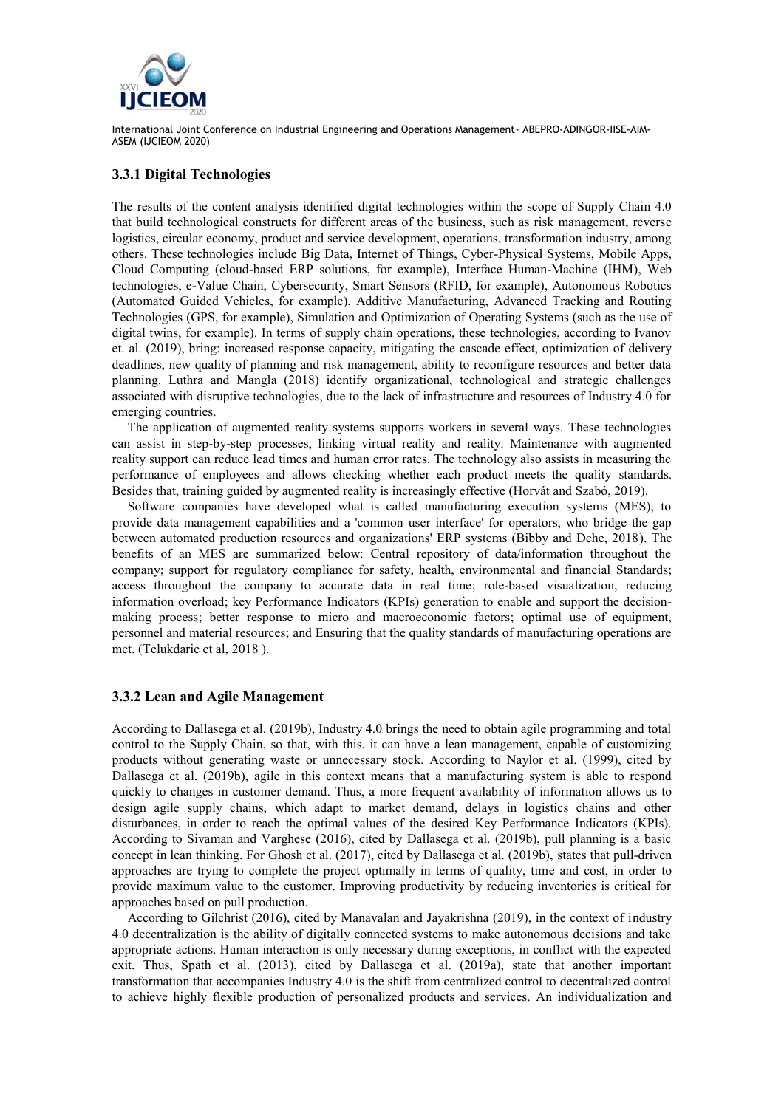

#### **3.3.1 Digital Technologies**

The results of the content analysis identified digital technologies within the scope of Supply Chain 4.0 that build technological constructs for different areas of the business, such as risk management, reverse logistics, circular economy, product and service development, operations, transformation industry, among others. These technologies include Big Data, Internet of Things, Cyber-Physical Systems, Mobile Apps, Cloud Computing (cloud-based ERP solutions, for example), Interface Human-Machine (IHM), Web technologies, e-Value Chain, Cybersecurity, Smart Sensors (RFID, for example), Autonomous Robotics (Automated Guided Vehicles, for example), Additive Manufacturing, Advanced Tracking and Routing Technologies (GPS, for example), Simulation and Optimization of Operating Systems (such as the use of digital twins, for example). In terms of supply chain operations, these technologies, according to Ivanov et. al. (2019), bring: increased response capacity, mitigating the cascade effect, optimization of delivery deadlines, new quality of planning and risk management, ability to reconfigure resources and better data planning. Luthra and Mangla (2018) identify organizational, technological and strategic challenges associated with disruptive technologies, due to the lack of infrastructure and resources of Industry 4.0 for emerging countries.

The application of augmented reality systems supports workers in several ways. These technologies can assist in step-by-step processes, linking virtual reality and reality. Maintenance with augmented reality support can reduce lead times and human error rates. The technology also assists in measuring the performance of employees and allows checking whether each product meets the quality standards. Besides that, training guided by augmented reality is increasingly effective (Horvát and Szabó, 2019).

Software companies have developed what is called manufacturing execution systems (MES), to provide data management capabilities and a 'common user interface' for operators, who bridge the gap between automated production resources and organizations' ERP systems (Bibby and Dehe, 2018). The benefits of an MES are summarized below: Central repository of data/information throughout the company; support for regulatory compliance for safety, health, environmental and financial Standards; access throughout the company to accurate data in real time; role-based visualization, reducing information overload; key Performance Indicators (KPIs) generation to enable and support the decisionmaking process; better response to micro and macroeconomic factors; optimal use of equipment, personnel and material resources; and Ensuring that the quality standards of manufacturing operations are met. (Telukdarie et al, 2018 ).

#### **3.3.2 Lean and Agile Management**

According to Dallasega et al. (2019b), Industry 4.0 brings the need to obtain agile programming and total control to the Supply Chain, so that, with this, it can have a lean management, capable of customizing products without generating waste or unnecessary stock. According to Naylor et al. (1999), cited by Dallasega et al. (2019b), agile in this context means that a manufacturing system is able to respond quickly to changes in customer demand. Thus, a more frequent availability of information allows us to design agile supply chains, which adapt to market demand, delays in logistics chains and other disturbances, in order to reach the optimal values of the desired Key Performance Indicators (KPIs). According to Sivaman and Varghese (2016), cited by Dallasega et al. (2019b), pull planning is a basic concept in lean thinking. For Ghosh et al. (2017), cited by Dallasega et al. (2019b), states that pull-driven approaches are trying to complete the project optimally in terms of quality, time and cost, in order to provide maximum value to the customer. Improving productivity by reducing inventories is critical for approaches based on pull production.

According to Gilchrist (2016), cited by Manavalan and Jayakrishna (2019), in the context of industry 4.0 decentralization is the ability of digitally connected systems to make autonomous decisions and take appropriate actions. Human interaction is only necessary during exceptions, in conflict with the expected exit. Thus, Spath et al. (2013), cited by Dallasega et al. (2019a), state that another important transformation that accompanies Industry 4.0 is the shift from centralized control to decentralized control to achieve highly flexible production of personalized products and services. An individualization and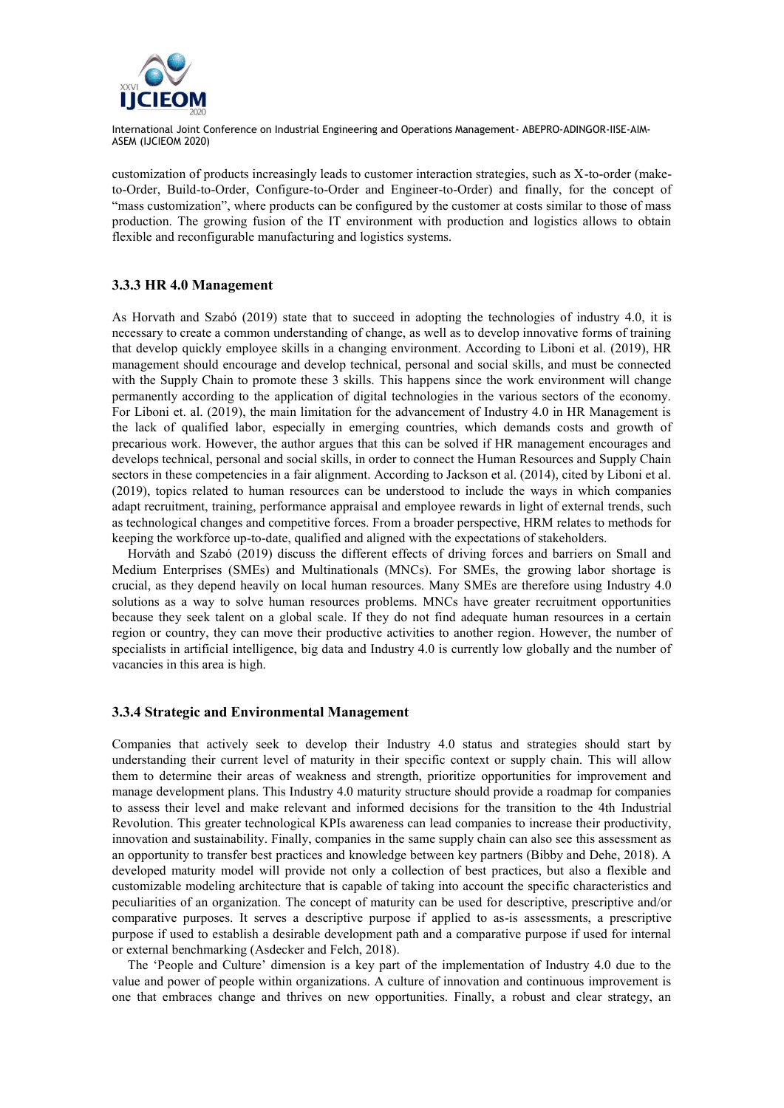

customization of products increasingly leads to customer interaction strategies, such as X-to-order (maketo-Order, Build-to-Order, Configure-to-Order and Engineer-to-Order) and finally, for the concept of "mass customization", where products can be configured by the customer at costs similar to those of mass production. The growing fusion of the IT environment with production and logistics allows to obtain flexible and reconfigurable manufacturing and logistics systems.

#### **3.3.3 HR 4.0 Management**

As Horvath and Szabó (2019) state that to succeed in adopting the technologies of industry 4.0, it is necessary to create a common understanding of change, as well as to develop innovative forms of training that develop quickly employee skills in a changing environment. According to Liboni et al. (2019), HR management should encourage and develop technical, personal and social skills, and must be connected with the Supply Chain to promote these 3 skills. This happens since the work environment will change permanently according to the application of digital technologies in the various sectors of the economy. For Liboni et. al. (2019), the main limitation for the advancement of Industry 4.0 in HR Management is the lack of qualified labor, especially in emerging countries, which demands costs and growth of precarious work. However, the author argues that this can be solved if HR management encourages and develops technical, personal and social skills, in order to connect the Human Resources and Supply Chain sectors in these competencies in a fair alignment. According to Jackson et al. (2014), cited by Liboni et al. (2019), topics related to human resources can be understood to include the ways in which companies adapt recruitment, training, performance appraisal and employee rewards in light of external trends, such as technological changes and competitive forces. From a broader perspective, HRM relates to methods for keeping the workforce up-to-date, qualified and aligned with the expectations of stakeholders.

Horváth and Szabó (2019) discuss the different effects of driving forces and barriers on Small and Medium Enterprises (SMEs) and Multinationals (MNCs). For SMEs, the growing labor shortage is crucial, as they depend heavily on local human resources. Many SMEs are therefore using Industry 4.0 solutions as a way to solve human resources problems. MNCs have greater recruitment opportunities because they seek talent on a global scale. If they do not find adequate human resources in a certain region or country, they can move their productive activities to another region. However, the number of specialists in artificial intelligence, big data and Industry 4.0 is currently low globally and the number of vacancies in this area is high.

#### **3.3.4 Strategic and Environmental Management**

Companies that actively seek to develop their Industry 4.0 status and strategies should start by understanding their current level of maturity in their specific context or supply chain. This will allow them to determine their areas of weakness and strength, prioritize opportunities for improvement and manage development plans. This Industry 4.0 maturity structure should provide a roadmap for companies to assess their level and make relevant and informed decisions for the transition to the 4th Industrial Revolution. This greater technological KPIs awareness can lead companies to increase their productivity, innovation and sustainability. Finally, companies in the same supply chain can also see this assessment as an opportunity to transfer best practices and knowledge between key partners (Bibby and Dehe, 2018). A developed maturity model will provide not only a collection of best practices, but also a flexible and customizable modeling architecture that is capable of taking into account the specific characteristics and peculiarities of an organization. The concept of maturity can be used for descriptive, prescriptive and/or comparative purposes. It serves a descriptive purpose if applied to as-is assessments, a prescriptive purpose if used to establish a desirable development path and a comparative purpose if used for internal or external benchmarking (Asdecker and Felch, 2018).

The 'People and Culture' dimension is a key part of the implementation of Industry 4.0 due to the value and power of people within organizations. A culture of innovation and continuous improvement is one that embraces change and thrives on new opportunities. Finally, a robust and clear strategy, an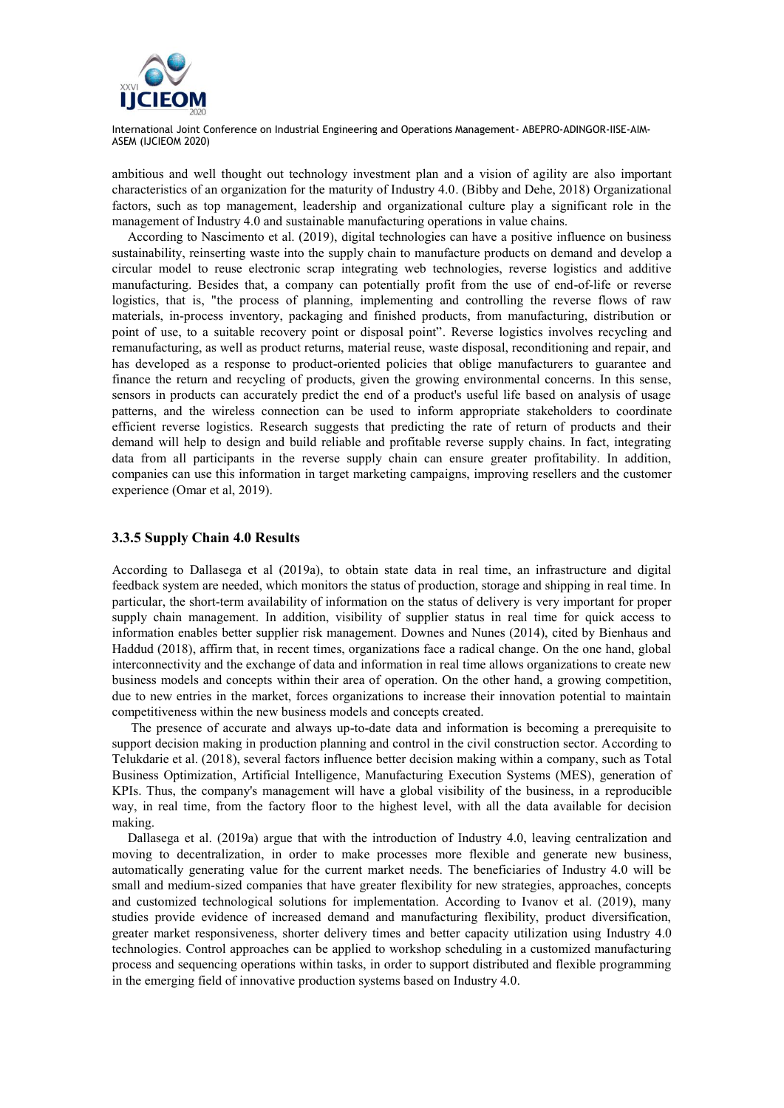

ambitious and well thought out technology investment plan and a vision of agility are also important characteristics of an organization for the maturity of Industry 4.0. (Bibby and Dehe, 2018) Organizational factors, such as top management, leadership and organizational culture play a significant role in the management of Industry 4.0 and sustainable manufacturing operations in value chains.

According to Nascimento et al. (2019), digital technologies can have a positive influence on business sustainability, reinserting waste into the supply chain to manufacture products on demand and develop a circular model to reuse electronic scrap integrating web technologies, reverse logistics and additive manufacturing. Besides that, a company can potentially profit from the use of end-of-life or reverse logistics, that is, "the process of planning, implementing and controlling the reverse flows of raw materials, in-process inventory, packaging and finished products, from manufacturing, distribution or point of use, to a suitable recovery point or disposal point". Reverse logistics involves recycling and remanufacturing, as well as product returns, material reuse, waste disposal, reconditioning and repair, and has developed as a response to product-oriented policies that oblige manufacturers to guarantee and finance the return and recycling of products, given the growing environmental concerns. In this sense, sensors in products can accurately predict the end of a product's useful life based on analysis of usage patterns, and the wireless connection can be used to inform appropriate stakeholders to coordinate efficient reverse logistics. Research suggests that predicting the rate of return of products and their demand will help to design and build reliable and profitable reverse supply chains. In fact, integrating data from all participants in the reverse supply chain can ensure greater profitability. In addition, companies can use this information in target marketing campaigns, improving resellers and the customer experience (Omar et al, 2019).

#### **3.3.5 Supply Chain 4.0 Results**

According to Dallasega et al (2019a), to obtain state data in real time, an infrastructure and digital feedback system are needed, which monitors the status of production, storage and shipping in real time. In particular, the short-term availability of information on the status of delivery is very important for proper supply chain management. In addition, visibility of supplier status in real time for quick access to information enables better supplier risk management. Downes and Nunes (2014), cited by Bienhaus and Haddud (2018), affirm that, in recent times, organizations face a radical change. On the one hand, global interconnectivity and the exchange of data and information in real time allows organizations to create new business models and concepts within their area of operation. On the other hand, a growing competition, due to new entries in the market, forces organizations to increase their innovation potential to maintain competitiveness within the new business models and concepts created.

The presence of accurate and always up-to-date data and information is becoming a prerequisite to support decision making in production planning and control in the civil construction sector. According to Telukdarie et al. (2018), several factors influence better decision making within a company, such as Total Business Optimization, Artificial Intelligence, Manufacturing Execution Systems (MES), generation of KPIs. Thus, the company's management will have a global visibility of the business, in a reproducible way, in real time, from the factory floor to the highest level, with all the data available for decision making.

Dallasega et al. (2019a) argue that with the introduction of Industry 4.0, leaving centralization and moving to decentralization, in order to make processes more flexible and generate new business, automatically generating value for the current market needs. The beneficiaries of Industry 4.0 will be small and medium-sized companies that have greater flexibility for new strategies, approaches, concepts and customized technological solutions for implementation. According to Ivanov et al. (2019), many studies provide evidence of increased demand and manufacturing flexibility, product diversification, greater market responsiveness, shorter delivery times and better capacity utilization using Industry 4.0 technologies. Control approaches can be applied to workshop scheduling in a customized manufacturing process and sequencing operations within tasks, in order to support distributed and flexible programming in the emerging field of innovative production systems based on Industry 4.0.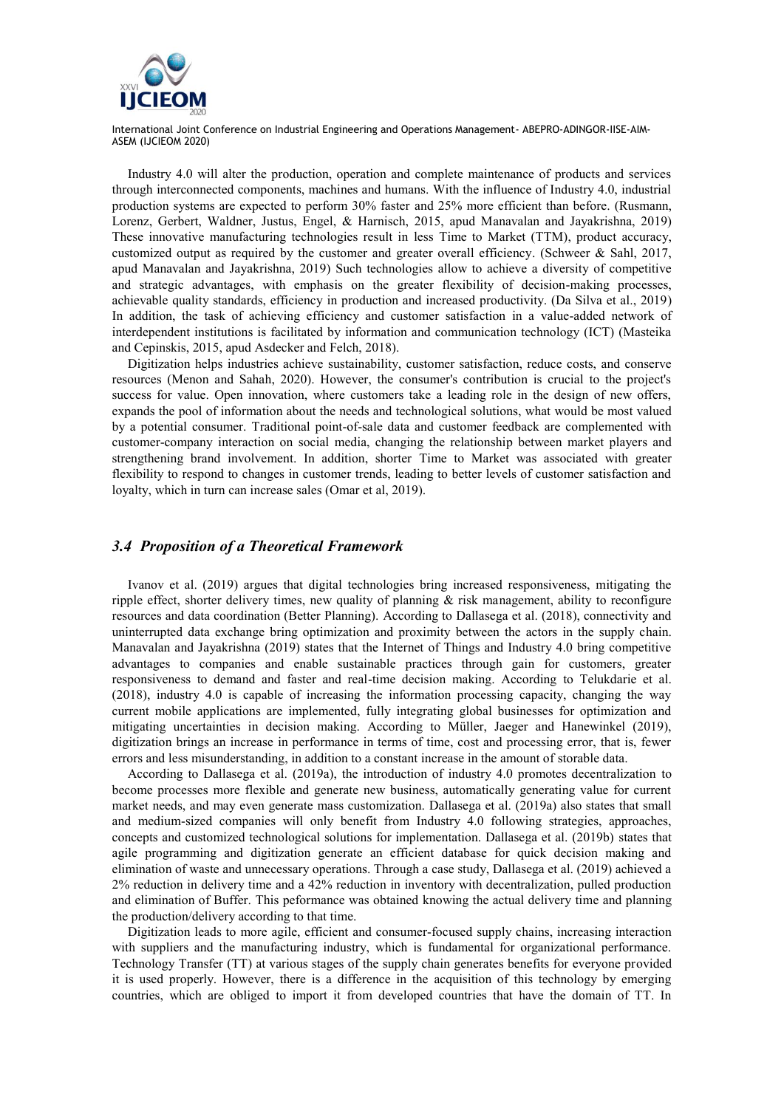

Industry 4.0 will alter the production, operation and complete maintenance of products and services through interconnected components, machines and humans. With the influence of Industry 4.0, industrial production systems are expected to perform 30% faster and 25% more efficient than before. (Rusmann, Lorenz, Gerbert, Waldner, Justus, Engel, & Harnisch, 2015, apud Manavalan and Jayakrishna, 2019) These innovative manufacturing technologies result in less Time to Market (TTM), product accuracy, customized output as required by the customer and greater overall efficiency. (Schweer & Sahl, 2017, apud Manavalan and Jayakrishna, 2019) Such technologies allow to achieve a diversity of competitive and strategic advantages, with emphasis on the greater flexibility of decision-making processes, achievable quality standards, efficiency in production and increased productivity. (Da Silva et al., 2019) In addition, the task of achieving efficiency and customer satisfaction in a value-added network of interdependent institutions is facilitated by information and communication technology (ICT) (Masteika and Cepinskis, 2015, apud Asdecker and Felch, 2018).

Digitization helps industries achieve sustainability, customer satisfaction, reduce costs, and conserve resources (Menon and Sahah, 2020). However, the consumer's contribution is crucial to the project's success for value. Open innovation, where customers take a leading role in the design of new offers, expands the pool of information about the needs and technological solutions, what would be most valued by a potential consumer. Traditional point-of-sale data and customer feedback are complemented with customer-company interaction on social media, changing the relationship between market players and strengthening brand involvement. In addition, shorter Time to Market was associated with greater flexibility to respond to changes in customer trends, leading to better levels of customer satisfaction and loyalty, which in turn can increase sales (Omar et al, 2019).

#### *3.4 Proposition of a Theoretical Framework*

Ivanov et al. (2019) argues that digital technologies bring increased responsiveness, mitigating the ripple effect, shorter delivery times, new quality of planning & risk management, ability to reconfigure resources and data coordination (Better Planning). According to Dallasega et al. (2018), connectivity and uninterrupted data exchange bring optimization and proximity between the actors in the supply chain. Manavalan and Jayakrishna (2019) states that the Internet of Things and Industry 4.0 bring competitive advantages to companies and enable sustainable practices through gain for customers, greater responsiveness to demand and faster and real-time decision making. According to Telukdarie et al. (2018), industry 4.0 is capable of increasing the information processing capacity, changing the way current mobile applications are implemented, fully integrating global businesses for optimization and mitigating uncertainties in decision making. According to Müller, Jaeger and Hanewinkel (2019), digitization brings an increase in performance in terms of time, cost and processing error, that is, fewer errors and less misunderstanding, in addition to a constant increase in the amount of storable data.

According to Dallasega et al. (2019a), the introduction of industry 4.0 promotes decentralization to become processes more flexible and generate new business, automatically generating value for current market needs, and may even generate mass customization. Dallasega et al. (2019a) also states that small and medium-sized companies will only benefit from Industry 4.0 following strategies, approaches, concepts and customized technological solutions for implementation. Dallasega et al. (2019b) states that agile programming and digitization generate an efficient database for quick decision making and elimination of waste and unnecessary operations. Through a case study, Dallasega et al. (2019) achieved a 2% reduction in delivery time and a 42% reduction in inventory with decentralization, pulled production and elimination of Buffer. This peformance was obtained knowing the actual delivery time and planning the production/delivery according to that time.

Digitization leads to more agile, efficient and consumer-focused supply chains, increasing interaction with suppliers and the manufacturing industry, which is fundamental for organizational performance. Technology Transfer (TT) at various stages of the supply chain generates benefits for everyone provided it is used properly. However, there is a difference in the acquisition of this technology by emerging countries, which are obliged to import it from developed countries that have the domain of TT. In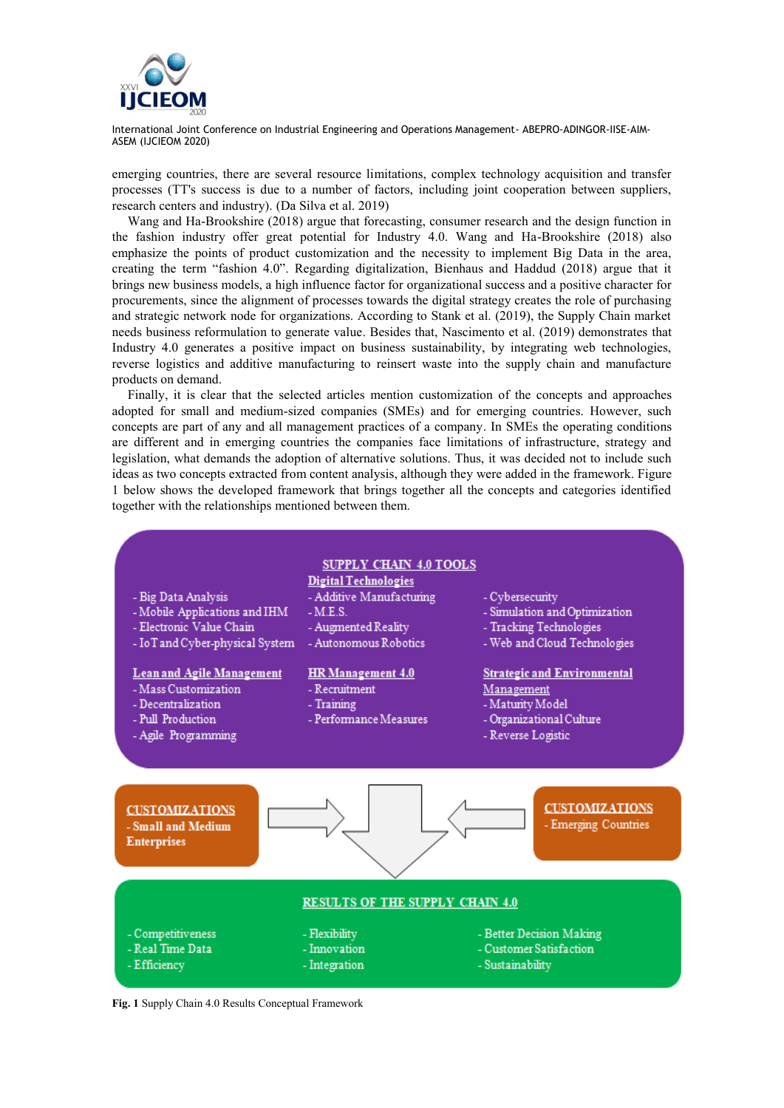

emerging countries, there are several resource limitations, complex technology acquisition and transfer processes (TT's success is due to a number of factors, including joint cooperation between suppliers, research centers and industry). (Da Silva et al. 2019)

Wang and Ha-Brookshire (2018) argue that forecasting, consumer research and the design function in the fashion industry offer great potential for Industry 4.0. Wang and Ha-Brookshire (2018) also emphasize the points of product customization and the necessity to implement Big Data in the area, creating the term "fashion 4.0". Regarding digitalization, Bienhaus and Haddud (2018) argue that it brings new business models, a high influence factor for organizational success and a positive character for procurements, since the alignment of processes towards the digital strategy creates the role of purchasing and strategic network node for organizations. According to Stank et al. (2019), the Supply Chain market needs business reformulation to generate value. Besides that, Nascimento et al. (2019) demonstrates that Industry 4.0 generates a positive impact on business sustainability, by integrating web technologies, reverse logistics and additive manufacturing to reinsert waste into the supply chain and manufacture products on demand.

Finally, it is clear that the selected articles mention customization of the concepts and approaches adopted for small and medium-sized companies (SMEs) and for emerging countries. However, such concepts are part of any and all management practices of a company. In SMEs the operating conditions are different and in emerging countries the companies face limitations of infrastructure, strategy and legislation, what demands the adoption of alternative solutions. Thus, it was decided not to include such ideas as two concepts extracted from content analysis, although they were added in the framework. Figure 1 below shows the developed framework that brings together all the concepts and categories identified together with the relationships mentioned between them.



**Fig. 1** Supply Chain 4.0 Results Conceptual Framework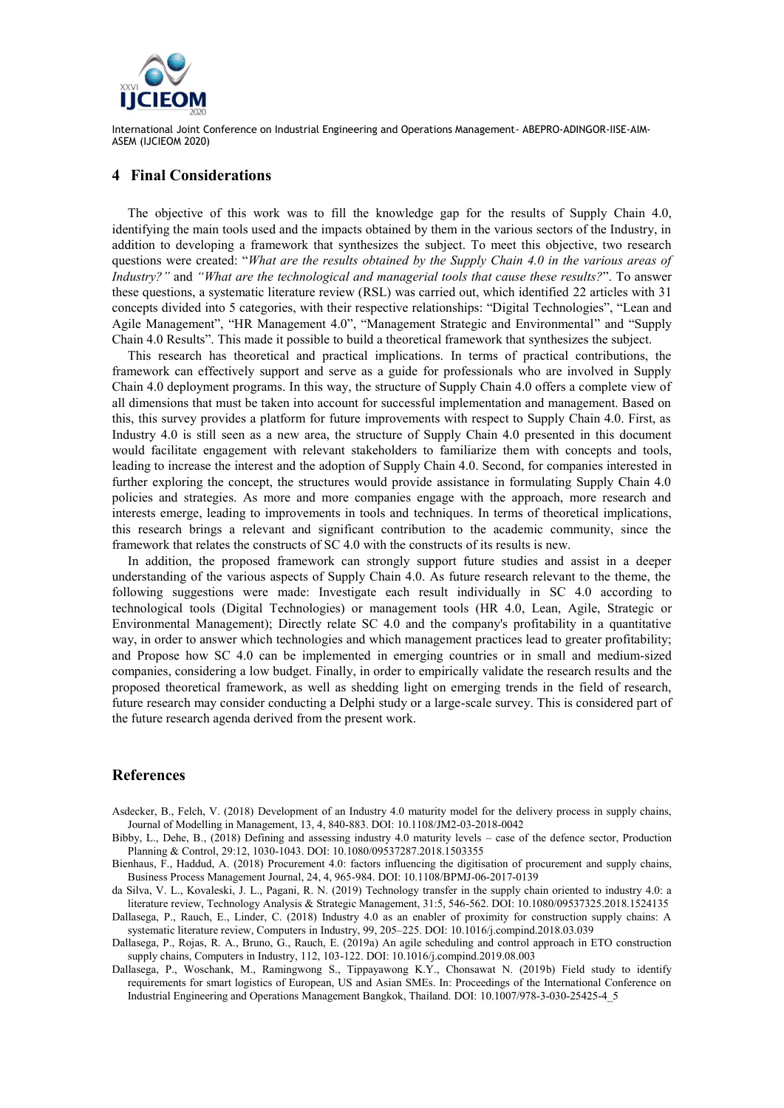

#### **4 Final Considerations**

The objective of this work was to fill the knowledge gap for the results of Supply Chain 4.0, identifying the main tools used and the impacts obtained by them in the various sectors of the Industry, in addition to developing a framework that synthesizes the subject. To meet this objective, two research questions were created: "*What are the results obtained by the Supply Chain 4.0 in the various areas of Industry?"* and *"What are the technological and managerial tools that cause these results?*". To answer these questions, a systematic literature review (RSL) was carried out, which identified 22 articles with 31 concepts divided into 5 categories, with their respective relationships: "Digital Technologies", "Lean and Agile Management", "HR Management 4.0", "Management Strategic and Environmental" and "Supply Chain 4.0 Results". This made it possible to build a theoretical framework that synthesizes the subject.

This research has theoretical and practical implications. In terms of practical contributions, the framework can effectively support and serve as a guide for professionals who are involved in Supply Chain 4.0 deployment programs. In this way, the structure of Supply Chain 4.0 offers a complete view of all dimensions that must be taken into account for successful implementation and management. Based on this, this survey provides a platform for future improvements with respect to Supply Chain 4.0. First, as Industry 4.0 is still seen as a new area, the structure of Supply Chain 4.0 presented in this document would facilitate engagement with relevant stakeholders to familiarize them with concepts and tools, leading to increase the interest and the adoption of Supply Chain 4.0. Second, for companies interested in further exploring the concept, the structures would provide assistance in formulating Supply Chain 4.0 policies and strategies. As more and more companies engage with the approach, more research and interests emerge, leading to improvements in tools and techniques. In terms of theoretical implications, this research brings a relevant and significant contribution to the academic community, since the framework that relates the constructs of SC 4.0 with the constructs of its results is new.

In addition, the proposed framework can strongly support future studies and assist in a deeper understanding of the various aspects of Supply Chain 4.0. As future research relevant to the theme, the following suggestions were made: Investigate each result individually in SC 4.0 according to technological tools (Digital Technologies) or management tools (HR 4.0, Lean, Agile, Strategic or Environmental Management); Directly relate SC 4.0 and the company's profitability in a quantitative way, in order to answer which technologies and which management practices lead to greater profitability; and Propose how SC 4.0 can be implemented in emerging countries or in small and medium-sized companies, considering a low budget. Finally, in order to empirically validate the research results and the proposed theoretical framework, as well as shedding light on emerging trends in the field of research, future research may consider conducting a Delphi study or a large-scale survey. This is considered part of the future research agenda derived from the present work.

#### **References**

- Asdecker, B., Felch, V. (2018) Development of an Industry 4.0 maturity model for the delivery process in supply chains, Journal of Modelling in Management, 13, 4, 840-883. DOI: 10.1108/JM2-03-2018-0042
- Bibby, L., Dehe, B., (2018) Defining and assessing industry 4.0 maturity levels case of the defence sector, Production Planning & Control, 29:12, 1030-1043. DOI: 10.1080/09537287.2018.1503355
- Bienhaus, F., Haddud, A. (2018) Procurement 4.0: factors influencing the digitisation of procurement and supply chains, Business Process Management Journal, 24, 4, 965-984. DOI: 10.1108/BPMJ-06-2017-0139
- da Silva, V. L., Kovaleski, J. L., Pagani, R. N. (2019) Technology transfer in the supply chain oriented to industry 4.0: a literature review, Technology Analysis & Strategic Management, 31:5, 546-562. DOI: 10.1080/09537325.2018.1524135
- Dallasega, P., Rauch, E., Linder, C. (2018) Industry 4.0 as an enabler of proximity for construction supply chains: A systematic literature review, Computers in Industry, 99, 205–225. DOI: 10.1016/j.compind.2018.03.039
- Dallasega, P., Rojas, R. A., Bruno, G., Rauch, E. (2019a) An agile scheduling and control approach in ETO construction supply chains, Computers in Industry, 112, 103-122. DOI: 10.1016/j.compind.2019.08.003
- Dallasega, P., Woschank, M., Ramingwong S., Tippayawong K.Y., Chonsawat N. (2019b) Field study to identify requirements for smart logistics of European, US and Asian SMEs. In: Proceedings of the International Conference on Industrial Engineering and Operations Management Bangkok, Thailand. DOI: 10.1007/978-3-030-25425-4\_5